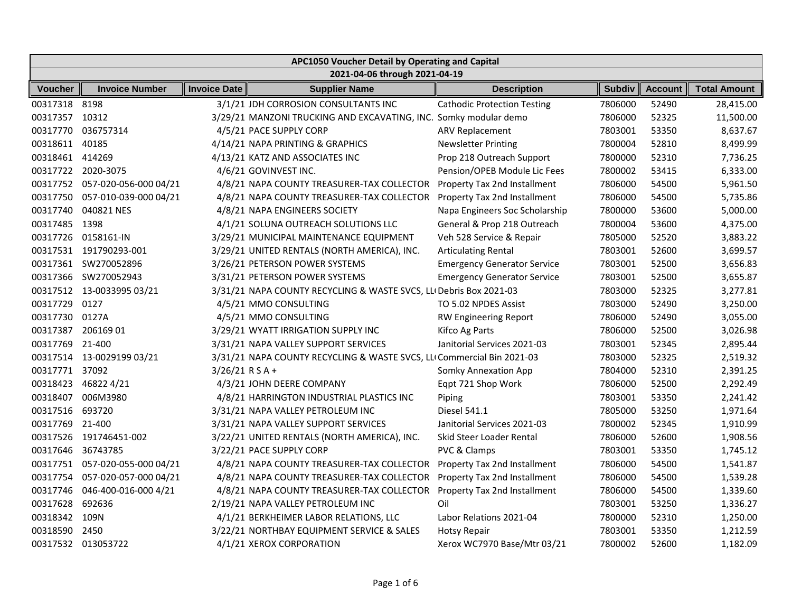| APC1050 Voucher Detail by Operating and Capital |                                |                     |                                                                        |                                    |               |                |                     |  |
|-------------------------------------------------|--------------------------------|---------------------|------------------------------------------------------------------------|------------------------------------|---------------|----------------|---------------------|--|
|                                                 | 2021-04-06 through 2021-04-19  |                     |                                                                        |                                    |               |                |                     |  |
| <b>Voucher</b>                                  | <b>Invoice Number</b>          | <b>Invoice Date</b> | <b>Supplier Name</b>                                                   | <b>Description</b>                 | <b>Subdiv</b> | <b>Account</b> | <b>Total Amount</b> |  |
| 00317318 8198                                   |                                |                     | 3/1/21 JDH CORROSION CONSULTANTS INC                                   | <b>Cathodic Protection Testing</b> | 7806000       | 52490          | 28,415.00           |  |
| 00317357 10312                                  |                                |                     | 3/29/21 MANZONI TRUCKING AND EXCAVATING, INC. Somky modular demo       |                                    | 7806000       | 52325          | 11,500.00           |  |
| 00317770                                        | 036757314                      |                     | 4/5/21 PACE SUPPLY CORP                                                | <b>ARV Replacement</b>             | 7803001       | 53350          | 8,637.67            |  |
| 00318611                                        | 40185                          |                     | 4/14/21 NAPA PRINTING & GRAPHICS                                       | <b>Newsletter Printing</b>         | 7800004       | 52810          | 8,499.99            |  |
| 00318461 414269                                 |                                |                     | 4/13/21 KATZ AND ASSOCIATES INC                                        | Prop 218 Outreach Support          | 7800000       | 52310          | 7,736.25            |  |
|                                                 | 00317722 2020-3075             |                     | 4/6/21 GOVINVEST INC.                                                  | Pension/OPEB Module Lic Fees       | 7800002       | 53415          | 6,333.00            |  |
|                                                 | 00317752 057-020-056-000 04/21 |                     | 4/8/21 NAPA COUNTY TREASURER-TAX COLLECTOR                             | Property Tax 2nd Installment       | 7806000       | 54500          | 5,961.50            |  |
| 00317750                                        | 057-010-039-000 04/21          |                     | 4/8/21 NAPA COUNTY TREASURER-TAX COLLECTOR                             | Property Tax 2nd Installment       | 7806000       | 54500          | 5,735.86            |  |
| 00317740                                        | 040821 NES                     |                     | 4/8/21 NAPA ENGINEERS SOCIETY                                          | Napa Engineers Soc Scholarship     | 7800000       | 53600          | 5,000.00            |  |
| 00317485                                        | 1398                           |                     | 4/1/21 SOLUNA OUTREACH SOLUTIONS LLC                                   | General & Prop 218 Outreach        | 7800004       | 53600          | 4,375.00            |  |
| 00317726                                        | 0158161-IN                     |                     | 3/29/21 MUNICIPAL MAINTENANCE EQUIPMENT                                | Veh 528 Service & Repair           | 7805000       | 52520          | 3,883.22            |  |
|                                                 | 00317531 191790293-001         |                     | 3/29/21 UNITED RENTALS (NORTH AMERICA), INC.                           | <b>Articulating Rental</b>         | 7803001       | 52600          | 3,699.57            |  |
|                                                 | 00317361 SW270052896           |                     | 3/26/21 PETERSON POWER SYSTEMS                                         | <b>Emergency Generator Service</b> | 7803001       | 52500          | 3,656.83            |  |
| 00317366                                        | SW270052943                    |                     | 3/31/21 PETERSON POWER SYSTEMS                                         | <b>Emergency Generator Service</b> | 7803001       | 52500          | 3,655.87            |  |
|                                                 | 00317512 13-0033995 03/21      |                     | 3/31/21 NAPA COUNTY RECYCLING & WASTE SVCS, LLI Debris Box 2021-03     |                                    | 7803000       | 52325          | 3,277.81            |  |
| 00317729 0127                                   |                                |                     | 4/5/21 MMO CONSULTING                                                  | TO 5.02 NPDES Assist               | 7803000       | 52490          | 3,250.00            |  |
| 00317730 0127A                                  |                                |                     | 4/5/21 MMO CONSULTING                                                  | <b>RW Engineering Report</b>       | 7806000       | 52490          | 3,055.00            |  |
| 00317387                                        | 20616901                       |                     | 3/29/21 WYATT IRRIGATION SUPPLY INC                                    | Kifco Ag Parts                     | 7806000       | 52500          | 3,026.98            |  |
| 00317769                                        | 21-400                         |                     | 3/31/21 NAPA VALLEY SUPPORT SERVICES                                   | Janitorial Services 2021-03        | 7803001       | 52345          | 2,895.44            |  |
|                                                 | 00317514 13-0029199 03/21      |                     | 3/31/21 NAPA COUNTY RECYCLING & WASTE SVCS, LLI Commercial Bin 2021-03 |                                    | 7803000       | 52325          | 2,519.32            |  |
| 00317771 37092                                  |                                | $3/26/21$ RSA+      |                                                                        | Somky Annexation App               | 7804000       | 52310          | 2,391.25            |  |
|                                                 | 00318423 46822 4/21            |                     | 4/3/21 JOHN DEERE COMPANY                                              | Eqpt 721 Shop Work                 | 7806000       | 52500          | 2,292.49            |  |
| 00318407                                        | 006M3980                       |                     | 4/8/21 HARRINGTON INDUSTRIAL PLASTICS INC                              | Piping                             | 7803001       | 53350          | 2,241.42            |  |
| 00317516                                        | 693720                         |                     | 3/31/21 NAPA VALLEY PETROLEUM INC                                      | Diesel 541.1                       | 7805000       | 53250          | 1,971.64            |  |
| 00317769                                        | 21-400                         |                     | 3/31/21 NAPA VALLEY SUPPORT SERVICES                                   | Janitorial Services 2021-03        | 7800002       | 52345          | 1,910.99            |  |
| 00317526                                        | 191746451-002                  |                     | 3/22/21 UNITED RENTALS (NORTH AMERICA), INC.                           | Skid Steer Loader Rental           | 7806000       | 52600          | 1,908.56            |  |
| 00317646                                        | 36743785                       |                     | 3/22/21 PACE SUPPLY CORP                                               | PVC & Clamps                       | 7803001       | 53350          | 1,745.12            |  |
|                                                 | 00317751 057-020-055-000 04/21 |                     | 4/8/21 NAPA COUNTY TREASURER-TAX COLLECTOR                             | Property Tax 2nd Installment       | 7806000       | 54500          | 1,541.87            |  |
| 00317754                                        | 057-020-057-000 04/21          |                     | 4/8/21 NAPA COUNTY TREASURER-TAX COLLECTOR                             | Property Tax 2nd Installment       | 7806000       | 54500          | 1,539.28            |  |
| 00317746                                        | 046-400-016-000 4/21           |                     | 4/8/21 NAPA COUNTY TREASURER-TAX COLLECTOR                             | Property Tax 2nd Installment       | 7806000       | 54500          | 1,339.60            |  |
| 00317628                                        | 692636                         |                     | 2/19/21 NAPA VALLEY PETROLEUM INC                                      | Oil                                | 7803001       | 53250          | 1,336.27            |  |
| 00318342                                        | 109N                           |                     | 4/1/21 BERKHEIMER LABOR RELATIONS, LLC                                 | Labor Relations 2021-04            | 7800000       | 52310          | 1,250.00            |  |
| 00318590                                        | 2450                           |                     | 3/22/21 NORTHBAY EQUIPMENT SERVICE & SALES                             | Hotsy Repair                       | 7803001       | 53350          | 1,212.59            |  |
|                                                 | 00317532 013053722             |                     | 4/1/21 XEROX CORPORATION                                               | Xerox WC7970 Base/Mtr 03/21        | 7800002       | 52600          | 1,182.09            |  |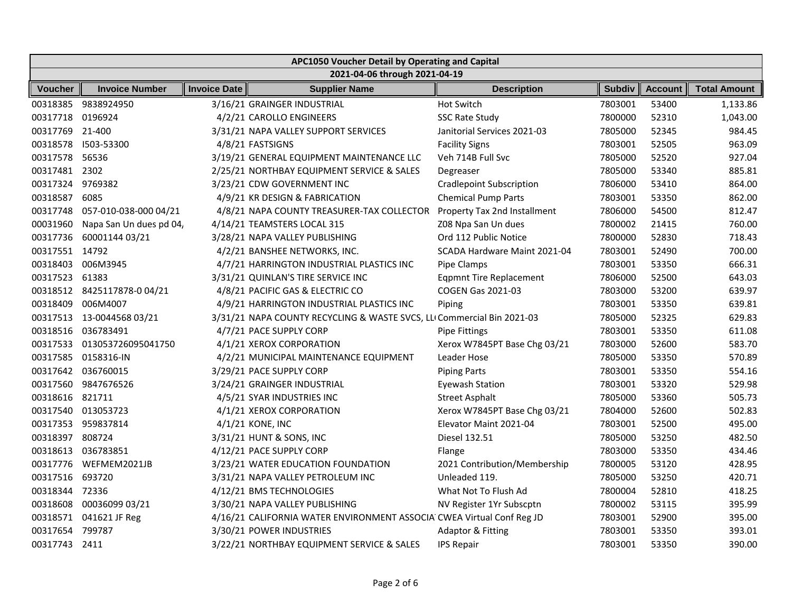| APC1050 Voucher Detail by Operating and Capital |                            |                     |                                                                        |                                 |               |                |                     |
|-------------------------------------------------|----------------------------|---------------------|------------------------------------------------------------------------|---------------------------------|---------------|----------------|---------------------|
| 2021-04-06 through 2021-04-19                   |                            |                     |                                                                        |                                 |               |                |                     |
| Voucher                                         | <b>Invoice Number</b>      | <b>Invoice Date</b> | <b>Supplier Name</b>                                                   | <b>Description</b>              | <b>Subdiv</b> | <b>Account</b> | <b>Total Amount</b> |
| 00318385                                        | 9838924950                 |                     | 3/16/21 GRAINGER INDUSTRIAL                                            | <b>Hot Switch</b>               | 7803001       | 53400          | 1,133.86            |
| 00317718                                        | 0196924                    |                     | 4/2/21 CAROLLO ENGINEERS                                               | <b>SSC Rate Study</b>           | 7800000       | 52310          | 1,043.00            |
| 00317769                                        | 21-400                     |                     | 3/31/21 NAPA VALLEY SUPPORT SERVICES                                   | Janitorial Services 2021-03     | 7805000       | 52345          | 984.45              |
| 00318578                                        | 1503-53300                 |                     | 4/8/21 FASTSIGNS                                                       | <b>Facility Signs</b>           | 7803001       | 52505          | 963.09              |
| 00317578                                        | 56536                      |                     | 3/19/21 GENERAL EQUIPMENT MAINTENANCE LLC                              | Veh 714B Full Svc               | 7805000       | 52520          | 927.04              |
| 00317481                                        | 2302                       |                     | 2/25/21 NORTHBAY EQUIPMENT SERVICE & SALES                             | Degreaser                       | 7805000       | 53340          | 885.81              |
| 00317324                                        | 9769382                    |                     | 3/23/21 CDW GOVERNMENT INC                                             | <b>Cradlepoint Subscription</b> | 7806000       | 53410          | 864.00              |
| 00318587                                        | 6085                       |                     | 4/9/21 KR DESIGN & FABRICATION                                         | <b>Chemical Pump Parts</b>      | 7803001       | 53350          | 862.00              |
| 00317748                                        | 057-010-038-000 04/21      |                     | 4/8/21 NAPA COUNTY TREASURER-TAX COLLECTOR                             | Property Tax 2nd Installment    | 7806000       | 54500          | 812.47              |
| 00031960                                        | Napa San Un dues pd 04,    |                     | 4/14/21 TEAMSTERS LOCAL 315                                            | Z08 Npa San Un dues             | 7800002       | 21415          | 760.00              |
| 00317736                                        | 60001144 03/21             |                     | 3/28/21 NAPA VALLEY PUBLISHING                                         | Ord 112 Public Notice           | 7800000       | 52830          | 718.43              |
| 00317551 14792                                  |                            |                     | 4/2/21 BANSHEE NETWORKS, INC.                                          | SCADA Hardware Maint 2021-04    | 7803001       | 52490          | 700.00              |
| 00318403                                        | 006M3945                   |                     | 4/7/21 HARRINGTON INDUSTRIAL PLASTICS INC                              | Pipe Clamps                     | 7803001       | 53350          | 666.31              |
| 00317523                                        | 61383                      |                     | 3/31/21 QUINLAN'S TIRE SERVICE INC                                     | <b>Eqpmnt Tire Replacement</b>  | 7806000       | 52500          | 643.03              |
|                                                 | 00318512 8425117878-004/21 |                     | 4/8/21 PACIFIC GAS & ELECTRIC CO                                       | <b>COGEN Gas 2021-03</b>        | 7803000       | 53200          | 639.97              |
| 00318409                                        | 006M4007                   |                     | 4/9/21 HARRINGTON INDUSTRIAL PLASTICS INC                              | Piping                          | 7803001       | 53350          | 639.81              |
|                                                 | 00317513 13-0044568 03/21  |                     | 3/31/21 NAPA COUNTY RECYCLING & WASTE SVCS, LLI Commercial Bin 2021-03 |                                 | 7805000       | 52325          | 629.83              |
| 00318516                                        | 036783491                  |                     | 4/7/21 PACE SUPPLY CORP                                                | <b>Pipe Fittings</b>            | 7803001       | 53350          | 611.08              |
| 00317533                                        | 013053726095041750         |                     | 4/1/21 XEROX CORPORATION                                               | Xerox W7845PT Base Chg 03/21    | 7803000       | 52600          | 583.70              |
| 00317585                                        | 0158316-IN                 |                     | 4/2/21 MUNICIPAL MAINTENANCE EQUIPMENT                                 | Leader Hose                     | 7805000       | 53350          | 570.89              |
| 00317642                                        | 036760015                  |                     | 3/29/21 PACE SUPPLY CORP                                               | <b>Piping Parts</b>             | 7803001       | 53350          | 554.16              |
| 00317560                                        | 9847676526                 |                     | 3/24/21 GRAINGER INDUSTRIAL                                            | <b>Eyewash Station</b>          | 7803001       | 53320          | 529.98              |
| 00318616                                        | 821711                     |                     | 4/5/21 SYAR INDUSTRIES INC                                             | <b>Street Asphalt</b>           | 7805000       | 53360          | 505.73              |
|                                                 | 00317540 013053723         |                     | 4/1/21 XEROX CORPORATION                                               | Xerox W7845PT Base Chg 03/21    | 7804000       | 52600          | 502.83              |
| 00317353                                        | 959837814                  |                     | 4/1/21 KONE, INC                                                       | Elevator Maint 2021-04          | 7803001       | 52500          | 495.00              |
| 00318397                                        | 808724                     |                     | 3/31/21 HUNT & SONS, INC                                               | Diesel 132.51                   | 7805000       | 53250          | 482.50              |
| 00318613                                        | 036783851                  |                     | 4/12/21 PACE SUPPLY CORP                                               | Flange                          | 7803000       | 53350          | 434.46              |
| 00317776                                        | WEFMEM2021JB               |                     | 3/23/21 WATER EDUCATION FOUNDATION                                     | 2021 Contribution/Membership    | 7800005       | 53120          | 428.95              |
| 00317516                                        | 693720                     |                     | 3/31/21 NAPA VALLEY PETROLEUM INC                                      | Unleaded 119.                   | 7805000       | 53250          | 420.71              |
| 00318344                                        | 72336                      |                     | 4/12/21 BMS TECHNOLOGIES                                               | What Not To Flush Ad            | 7800004       | 52810          | 418.25              |
| 00318608                                        | 00036099 03/21             |                     | 3/30/21 NAPA VALLEY PUBLISHING                                         | NV Register 1Yr Subscptn        | 7800002       | 53115          | 395.99              |
| 00318571                                        | 041621 JF Reg              |                     | 4/16/21 CALIFORNIA WATER ENVIRONMENT ASSOCIA CWEA Virtual Conf Reg JD  |                                 | 7803001       | 52900          | 395.00              |
| 00317654                                        | 799787                     |                     | 3/30/21 POWER INDUSTRIES                                               | <b>Adaptor &amp; Fitting</b>    | 7803001       | 53350          | 393.01              |
| 00317743                                        | 2411                       |                     | 3/22/21 NORTHBAY EQUIPMENT SERVICE & SALES                             | <b>IPS Repair</b>               | 7803001       | 53350          | 390.00              |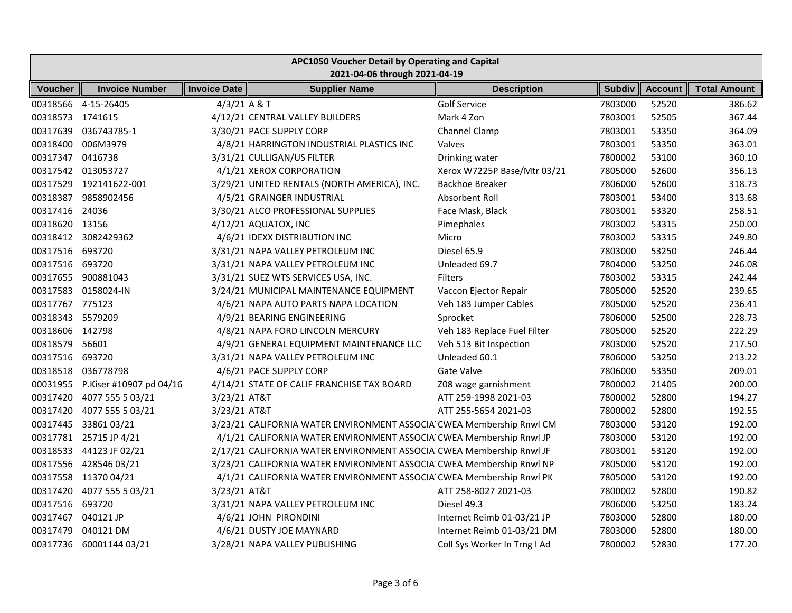| APC1050 Voucher Detail by Operating and Capital |                                  |                     |                                                                      |                              |               |                |                     |  |  |
|-------------------------------------------------|----------------------------------|---------------------|----------------------------------------------------------------------|------------------------------|---------------|----------------|---------------------|--|--|
|                                                 | 2021-04-06 through 2021-04-19    |                     |                                                                      |                              |               |                |                     |  |  |
| <b>Voucher</b>                                  | <b>Invoice Number</b>            | <b>Invoice Date</b> | <b>Supplier Name</b>                                                 | <b>Description</b>           | <b>Subdiv</b> | <b>Account</b> | <b>Total Amount</b> |  |  |
|                                                 | 00318566 4-15-26405              | $4/3/21$ A & T      |                                                                      | <b>Golf Service</b>          | 7803000       | 52520          | 386.62              |  |  |
| 00318573 1741615                                |                                  |                     | 4/12/21 CENTRAL VALLEY BUILDERS                                      | Mark 4 Zon                   | 7803001       | 52505          | 367.44              |  |  |
|                                                 | 00317639 036743785-1             |                     | 3/30/21 PACE SUPPLY CORP                                             | Channel Clamp                | 7803001       | 53350          | 364.09              |  |  |
|                                                 | 00318400 006M3979                |                     | 4/8/21 HARRINGTON INDUSTRIAL PLASTICS INC                            | Valves                       | 7803001       | 53350          | 363.01              |  |  |
| 00317347 0416738                                |                                  |                     | 3/31/21 CULLIGAN/US FILTER                                           | Drinking water               | 7800002       | 53100          | 360.10              |  |  |
|                                                 | 00317542 013053727               |                     | 4/1/21 XEROX CORPORATION                                             | Xerox W7225P Base/Mtr 03/21  | 7805000       | 52600          | 356.13              |  |  |
|                                                 | 00317529 192141622-001           |                     | 3/29/21 UNITED RENTALS (NORTH AMERICA), INC.                         | Backhoe Breaker              | 7806000       | 52600          | 318.73              |  |  |
| 00318387                                        | 9858902456                       |                     | 4/5/21 GRAINGER INDUSTRIAL                                           | Absorbent Roll               | 7803001       | 53400          | 313.68              |  |  |
| 00317416 24036                                  |                                  |                     | 3/30/21 ALCO PROFESSIONAL SUPPLIES                                   | Face Mask, Black             | 7803001       | 53320          | 258.51              |  |  |
| 00318620 13156                                  |                                  |                     | 4/12/21 AQUATOX, INC                                                 | Pimephales                   | 7803002       | 53315          | 250.00              |  |  |
|                                                 | 00318412 3082429362              |                     | 4/6/21 IDEXX DISTRIBUTION INC                                        | Micro                        | 7803002       | 53315          | 249.80              |  |  |
| 00317516 693720                                 |                                  |                     | 3/31/21 NAPA VALLEY PETROLEUM INC                                    | Diesel 65.9                  | 7803000       | 53250          | 246.44              |  |  |
| 00317516 693720                                 |                                  |                     | 3/31/21 NAPA VALLEY PETROLEUM INC                                    | Unleaded 69.7                | 7804000       | 53250          | 246.08              |  |  |
|                                                 | 00317655 900881043               |                     | 3/31/21 SUEZ WTS SERVICES USA, INC.                                  | <b>Filters</b>               | 7803002       | 53315          | 242.44              |  |  |
|                                                 | 00317583 0158024-IN              |                     | 3/24/21 MUNICIPAL MAINTENANCE EQUIPMENT                              | Vaccon Ejector Repair        | 7805000       | 52520          | 239.65              |  |  |
| 00317767 775123                                 |                                  |                     | 4/6/21 NAPA AUTO PARTS NAPA LOCATION                                 | Veh 183 Jumper Cables        | 7805000       | 52520          | 236.41              |  |  |
| 00318343 5579209                                |                                  |                     | 4/9/21 BEARING ENGINEERING                                           | Sprocket                     | 7806000       | 52500          | 228.73              |  |  |
| 00318606 142798                                 |                                  |                     | 4/8/21 NAPA FORD LINCOLN MERCURY                                     | Veh 183 Replace Fuel Filter  | 7805000       | 52520          | 222.29              |  |  |
| 00318579 56601                                  |                                  |                     | 4/9/21 GENERAL EQUIPMENT MAINTENANCE LLC                             | Veh 513 Bit Inspection       | 7803000       | 52520          | 217.50              |  |  |
| 00317516                                        | 693720                           |                     | 3/31/21 NAPA VALLEY PETROLEUM INC                                    | Unleaded 60.1                | 7806000       | 53250          | 213.22              |  |  |
|                                                 | 00318518 036778798               |                     | 4/6/21 PACE SUPPLY CORP                                              | Gate Valve                   | 7806000       | 53350          | 209.01              |  |  |
|                                                 | 00031955 P.Kiser #10907 pd 04/16 |                     | 4/14/21 STATE OF CALIF FRANCHISE TAX BOARD                           | Z08 wage garnishment         | 7800002       | 21405          | 200.00              |  |  |
|                                                 | 00317420 4077 555 5 03/21        | 3/23/21 AT&T        |                                                                      | ATT 259-1998 2021-03         | 7800002       | 52800          | 194.27              |  |  |
| 00317420                                        | 4077 555 5 03/21                 | 3/23/21 AT&T        |                                                                      | ATT 255-5654 2021-03         | 7800002       | 52800          | 192.55              |  |  |
| 00317445                                        | 3386103/21                       |                     | 3/23/21 CALIFORNIA WATER ENVIRONMENT ASSOCIA CWEA Membership Rnwl CM |                              | 7803000       | 53120          | 192.00              |  |  |
|                                                 | 00317781 25715 JP 4/21           |                     | 4/1/21 CALIFORNIA WATER ENVIRONMENT ASSOCIA CWEA Membership Rnwl JP  |                              | 7803000       | 53120          | 192.00              |  |  |
|                                                 | 00318533 44123 JF 02/21          |                     | 2/17/21 CALIFORNIA WATER ENVIRONMENT ASSOCIA CWEA Membership Rnwl JF |                              | 7803001       | 53120          | 192.00              |  |  |
| 00317556                                        | 42854603/21                      |                     | 3/23/21 CALIFORNIA WATER ENVIRONMENT ASSOCIA CWEA Membership Rnwl NP |                              | 7805000       | 53120          | 192.00              |  |  |
|                                                 | 00317558 11370 04/21             |                     | 4/1/21 CALIFORNIA WATER ENVIRONMENT ASSOCIA CWEA Membership Rnwl PK  |                              | 7805000       | 53120          | 192.00              |  |  |
| 00317420                                        | 4077 555 5 03/21                 | 3/23/21 AT&T        |                                                                      | ATT 258-8027 2021-03         | 7800002       | 52800          | 190.82              |  |  |
| 00317516                                        | 693720                           |                     | 3/31/21 NAPA VALLEY PETROLEUM INC                                    | Diesel 49.3                  | 7806000       | 53250          | 183.24              |  |  |
| 00317467                                        | 040121 JP                        |                     | 4/6/21 JOHN PIRONDINI                                                | Internet Reimb 01-03/21 JP   | 7803000       | 52800          | 180.00              |  |  |
| 00317479                                        | 040121 DM                        |                     | 4/6/21 DUSTY JOE MAYNARD                                             | Internet Reimb 01-03/21 DM   | 7803000       | 52800          | 180.00              |  |  |
| 00317736                                        | 60001144 03/21                   |                     | 3/28/21 NAPA VALLEY PUBLISHING                                       | Coll Sys Worker In Trng I Ad | 7800002       | 52830          | 177.20              |  |  |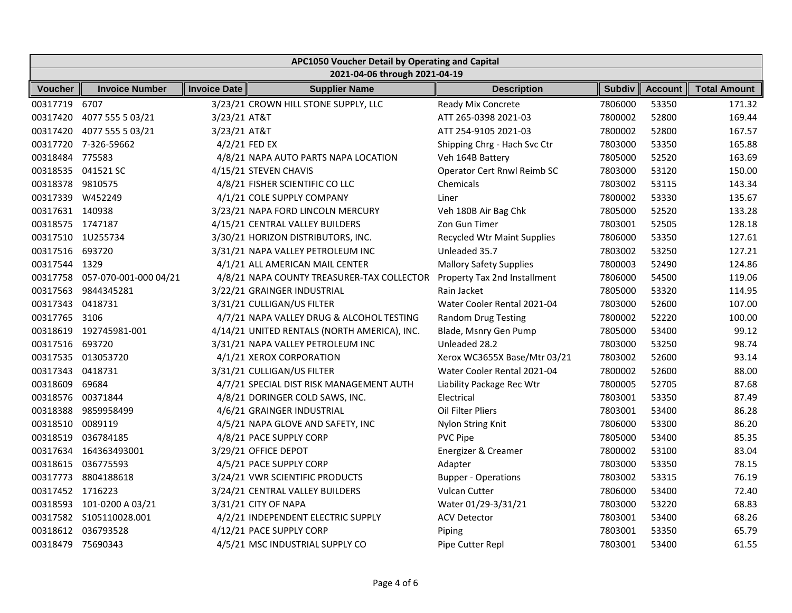|                   | APC1050 Voucher Detail by Operating and Capital |                     |                                              |                                    |               |                |                     |  |  |
|-------------------|-------------------------------------------------|---------------------|----------------------------------------------|------------------------------------|---------------|----------------|---------------------|--|--|
|                   | 2021-04-06 through 2021-04-19                   |                     |                                              |                                    |               |                |                     |  |  |
| Voucher           | <b>Invoice Number</b>                           | <b>Invoice Date</b> | <b>Supplier Name</b>                         | <b>Description</b>                 | <b>Subdiv</b> | <b>Account</b> | <b>Total Amount</b> |  |  |
| 00317719          | 6707                                            |                     | 3/23/21 CROWN HILL STONE SUPPLY, LLC         | Ready Mix Concrete                 | 7806000       | 53350          | 171.32              |  |  |
| 00317420          | 4077 555 5 03/21                                | 3/23/21 AT&T        |                                              | ATT 265-0398 2021-03               | 7800002       | 52800          | 169.44              |  |  |
| 00317420          | 4077 555 5 03/21                                | 3/23/21 AT&T        |                                              | ATT 254-9105 2021-03               | 7800002       | 52800          | 167.57              |  |  |
|                   | 00317720 7-326-59662                            |                     | 4/2/21 FED EX                                | Shipping Chrg - Hach Svc Ctr       | 7803000       | 53350          | 165.88              |  |  |
| 00318484 775583   |                                                 |                     | 4/8/21 NAPA AUTO PARTS NAPA LOCATION         | Veh 164B Battery                   | 7805000       | 52520          | 163.69              |  |  |
|                   | 00318535 041521 SC                              |                     | 4/15/21 STEVEN CHAVIS                        | Operator Cert Rnwl Reimb SC        | 7803000       | 53120          | 150.00              |  |  |
| 00318378 9810575  |                                                 |                     | 4/8/21 FISHER SCIENTIFIC CO LLC              | Chemicals                          | 7803002       | 53115          | 143.34              |  |  |
| 00317339 W452249  |                                                 |                     | 4/1/21 COLE SUPPLY COMPANY                   | Liner                              | 7800002       | 53330          | 135.67              |  |  |
| 00317631 140938   |                                                 |                     | 3/23/21 NAPA FORD LINCOLN MERCURY            | Veh 180B Air Bag Chk               | 7805000       | 52520          | 133.28              |  |  |
| 00318575 1747187  |                                                 |                     | 4/15/21 CENTRAL VALLEY BUILDERS              | Zon Gun Timer                      | 7803001       | 52505          | 128.18              |  |  |
|                   | 00317510 1U255734                               |                     | 3/30/21 HORIZON DISTRIBUTORS, INC.           | <b>Recycled Wtr Maint Supplies</b> | 7806000       | 53350          | 127.61              |  |  |
| 00317516 693720   |                                                 |                     | 3/31/21 NAPA VALLEY PETROLEUM INC            | Unleaded 35.7                      | 7803002       | 53250          | 127.21              |  |  |
| 00317544 1329     |                                                 |                     | 4/1/21 ALL AMERICAN MAIL CENTER              | <b>Mallory Safety Supplies</b>     | 7800003       | 52490          | 124.86              |  |  |
|                   | 00317758 057-070-001-000 04/21                  |                     | 4/8/21 NAPA COUNTY TREASURER-TAX COLLECTOR   | Property Tax 2nd Installment       | 7806000       | 54500          | 119.06              |  |  |
|                   | 00317563 9844345281                             |                     | 3/22/21 GRAINGER INDUSTRIAL                  | Rain Jacket                        | 7805000       | 53320          | 114.95              |  |  |
| 00317343 0418731  |                                                 |                     | 3/31/21 CULLIGAN/US FILTER                   | Water Cooler Rental 2021-04        | 7803000       | 52600          | 107.00              |  |  |
| 00317765 3106     |                                                 |                     | 4/7/21 NAPA VALLEY DRUG & ALCOHOL TESTING    | <b>Random Drug Testing</b>         | 7800002       | 52220          | 100.00              |  |  |
|                   | 00318619 192745981-001                          |                     | 4/14/21 UNITED RENTALS (NORTH AMERICA), INC. | Blade, Msnry Gen Pump              | 7805000       | 53400          | 99.12               |  |  |
| 00317516 693720   |                                                 |                     | 3/31/21 NAPA VALLEY PETROLEUM INC            | Unleaded 28.2                      | 7803000       | 53250          | 98.74               |  |  |
|                   | 00317535 013053720                              |                     | 4/1/21 XEROX CORPORATION                     | Xerox WC3655X Base/Mtr 03/21       | 7803002       | 52600          | 93.14               |  |  |
| 00317343 0418731  |                                                 |                     | 3/31/21 CULLIGAN/US FILTER                   | Water Cooler Rental 2021-04        | 7800002       | 52600          | 88.00               |  |  |
| 00318609          | 69684                                           |                     | 4/7/21 SPECIAL DIST RISK MANAGEMENT AUTH     | Liability Package Rec Wtr          | 7800005       | 52705          | 87.68               |  |  |
| 00318576 00371844 |                                                 |                     | 4/8/21 DORINGER COLD SAWS, INC.              | Electrical                         | 7803001       | 53350          | 87.49               |  |  |
|                   | 00318388 9859958499                             |                     | 4/6/21 GRAINGER INDUSTRIAL                   | Oil Filter Pliers                  | 7803001       | 53400          | 86.28               |  |  |
| 00318510          | 0089119                                         |                     | 4/5/21 NAPA GLOVE AND SAFETY, INC            | Nylon String Knit                  | 7806000       | 53300          | 86.20               |  |  |
| 00318519          | 036784185                                       |                     | 4/8/21 PACE SUPPLY CORP                      | PVC Pipe                           | 7805000       | 53400          | 85.35               |  |  |
|                   | 00317634 164363493001                           |                     | 3/29/21 OFFICE DEPOT                         | Energizer & Creamer                | 7800002       | 53100          | 83.04               |  |  |
|                   | 00318615 036775593                              |                     | 4/5/21 PACE SUPPLY CORP                      | Adapter                            | 7803000       | 53350          | 78.15               |  |  |
| 00317773          | 8804188618                                      |                     | 3/24/21 VWR SCIENTIFIC PRODUCTS              | <b>Bupper - Operations</b>         | 7803002       | 53315          | 76.19               |  |  |
| 00317452 1716223  |                                                 |                     | 3/24/21 CENTRAL VALLEY BUILDERS              | <b>Vulcan Cutter</b>               | 7806000       | 53400          | 72.40               |  |  |
|                   | 00318593 101-0200 A 03/21                       |                     | 3/31/21 CITY OF NAPA                         | Water 01/29-3/31/21                | 7803000       | 53220          | 68.83               |  |  |
|                   | 00317582 S105110028.001                         |                     | 4/2/21 INDEPENDENT ELECTRIC SUPPLY           | <b>ACV Detector</b>                | 7803001       | 53400          | 68.26               |  |  |
|                   | 00318612 036793528                              |                     | 4/12/21 PACE SUPPLY CORP                     | Piping                             | 7803001       | 53350          | 65.79               |  |  |
| 00318479          | 75690343                                        |                     | 4/5/21 MSC INDUSTRIAL SUPPLY CO              | Pipe Cutter Repl                   | 7803001       | 53400          | 61.55               |  |  |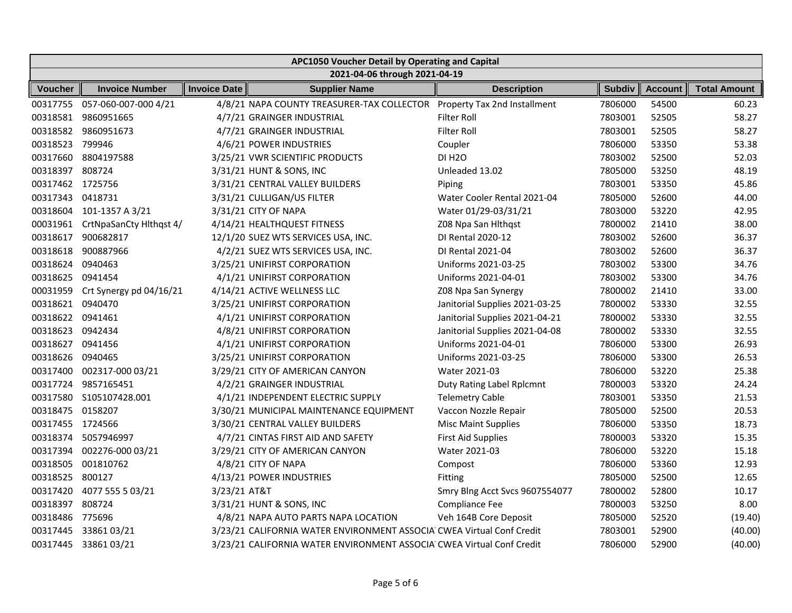|                  | APC1050 Voucher Detail by Operating and Capital |                     |                                                                         |                                |               |                |                     |  |  |
|------------------|-------------------------------------------------|---------------------|-------------------------------------------------------------------------|--------------------------------|---------------|----------------|---------------------|--|--|
|                  | 2021-04-06 through 2021-04-19                   |                     |                                                                         |                                |               |                |                     |  |  |
| Voucher          | <b>Invoice Number</b>                           | <b>Invoice Date</b> | <b>Supplier Name</b>                                                    | <b>Description</b>             | <b>Subdiv</b> | <b>Account</b> | <b>Total Amount</b> |  |  |
| 00317755         | 057-060-007-000 4/21                            |                     | 4/8/21 NAPA COUNTY TREASURER-TAX COLLECTOR Property Tax 2nd Installment |                                | 7806000       | 54500          | 60.23               |  |  |
|                  | 00318581 9860951665                             |                     | 4/7/21 GRAINGER INDUSTRIAL                                              | <b>Filter Roll</b>             | 7803001       | 52505          | 58.27               |  |  |
|                  | 00318582 9860951673                             |                     | 4/7/21 GRAINGER INDUSTRIAL                                              | <b>Filter Roll</b>             | 7803001       | 52505          | 58.27               |  |  |
| 00318523 799946  |                                                 |                     | 4/6/21 POWER INDUSTRIES                                                 | Coupler                        | 7806000       | 53350          | 53.38               |  |  |
|                  | 00317660 8804197588                             |                     | 3/25/21 VWR SCIENTIFIC PRODUCTS                                         | <b>DI H2O</b>                  | 7803002       | 52500          | 52.03               |  |  |
| 00318397 808724  |                                                 |                     | 3/31/21 HUNT & SONS, INC                                                | Unleaded 13.02                 | 7805000       | 53250          | 48.19               |  |  |
| 00317462 1725756 |                                                 |                     | 3/31/21 CENTRAL VALLEY BUILDERS                                         | Piping                         | 7803001       | 53350          | 45.86               |  |  |
| 00317343         | 0418731                                         |                     | 3/31/21 CULLIGAN/US FILTER                                              | Water Cooler Rental 2021-04    | 7805000       | 52600          | 44.00               |  |  |
|                  | 00318604 101-1357 A 3/21                        |                     | 3/31/21 CITY OF NAPA                                                    | Water 01/29-03/31/21           | 7803000       | 53220          | 42.95               |  |  |
|                  | 00031961 CrtNpaSanCty Hlthqst 4/                |                     | 4/14/21 HEALTHQUEST FITNESS                                             | Z08 Npa San Hlthqst            | 7800002       | 21410          | 38.00               |  |  |
|                  | 00318617 900682817                              |                     | 12/1/20 SUEZ WTS SERVICES USA, INC.                                     | DI Rental 2020-12              | 7803002       | 52600          | 36.37               |  |  |
|                  | 00318618 900887966                              |                     | 4/2/21 SUEZ WTS SERVICES USA, INC.                                      | DI Rental 2021-04              | 7803002       | 52600          | 36.37               |  |  |
| 00318624         | 0940463                                         |                     | 3/25/21 UNIFIRST CORPORATION                                            | Uniforms 2021-03-25            | 7803002       | 53300          | 34.76               |  |  |
| 00318625 0941454 |                                                 |                     | 4/1/21 UNIFIRST CORPORATION                                             | Uniforms 2021-04-01            | 7803002       | 53300          | 34.76               |  |  |
|                  | 00031959 Crt Synergy pd 04/16/21                |                     | 4/14/21 ACTIVE WELLNESS LLC                                             | Z08 Npa San Synergy            | 7800002       | 21410          | 33.00               |  |  |
| 00318621 0940470 |                                                 |                     | 3/25/21 UNIFIRST CORPORATION                                            | Janitorial Supplies 2021-03-25 | 7800002       | 53330          | 32.55               |  |  |
| 00318622 0941461 |                                                 |                     | 4/1/21 UNIFIRST CORPORATION                                             | Janitorial Supplies 2021-04-21 | 7800002       | 53330          | 32.55               |  |  |
| 00318623 0942434 |                                                 |                     | 4/8/21 UNIFIRST CORPORATION                                             | Janitorial Supplies 2021-04-08 | 7800002       | 53330          | 32.55               |  |  |
| 00318627 0941456 |                                                 |                     | 4/1/21 UNIFIRST CORPORATION                                             | Uniforms 2021-04-01            | 7806000       | 53300          | 26.93               |  |  |
| 00318626 0940465 |                                                 |                     | 3/25/21 UNIFIRST CORPORATION                                            | Uniforms 2021-03-25            | 7806000       | 53300          | 26.53               |  |  |
|                  | 00317400 002317-000 03/21                       |                     | 3/29/21 CITY OF AMERICAN CANYON                                         | Water 2021-03                  | 7806000       | 53220          | 25.38               |  |  |
| 00317724         | 9857165451                                      |                     | 4/2/21 GRAINGER INDUSTRIAL                                              | Duty Rating Label Rplcmnt      | 7800003       | 53320          | 24.24               |  |  |
|                  | 00317580 S105107428.001                         |                     | 4/1/21 INDEPENDENT ELECTRIC SUPPLY                                      | <b>Telemetry Cable</b>         | 7803001       | 53350          | 21.53               |  |  |
| 00318475 0158207 |                                                 |                     | 3/30/21 MUNICIPAL MAINTENANCE EQUIPMENT                                 | Vaccon Nozzle Repair           | 7805000       | 52500          | 20.53               |  |  |
| 00317455 1724566 |                                                 |                     | 3/30/21 CENTRAL VALLEY BUILDERS                                         | <b>Misc Maint Supplies</b>     | 7806000       | 53350          | 18.73               |  |  |
|                  | 00318374 5057946997                             |                     | 4/7/21 CINTAS FIRST AID AND SAFETY                                      | <b>First Aid Supplies</b>      | 7800003       | 53320          | 15.35               |  |  |
|                  | 00317394 002276-000 03/21                       |                     | 3/29/21 CITY OF AMERICAN CANYON                                         | Water 2021-03                  | 7806000       | 53220          | 15.18               |  |  |
| 00318505         | 001810762                                       |                     | 4/8/21 CITY OF NAPA                                                     | Compost                        | 7806000       | 53360          | 12.93               |  |  |
| 00318525         | 800127                                          |                     | 4/13/21 POWER INDUSTRIES                                                | Fitting                        | 7805000       | 52500          | 12.65               |  |  |
|                  | 00317420 4077 555 5 03/21                       | 3/23/21 AT&T        |                                                                         | Smry Blng Acct Svcs 9607554077 | 7800002       | 52800          | 10.17               |  |  |
| 00318397         | 808724                                          |                     | 3/31/21 HUNT & SONS, INC                                                | Compliance Fee                 | 7800003       | 53250          | 8.00                |  |  |
| 00318486         | 775696                                          |                     | 4/8/21 NAPA AUTO PARTS NAPA LOCATION                                    | Veh 164B Core Deposit          | 7805000       | 52520          | (19.40)             |  |  |
|                  | 00317445 3386103/21                             |                     | 3/23/21 CALIFORNIA WATER ENVIRONMENT ASSOCIA CWEA Virtual Conf Credit   |                                | 7803001       | 52900          | (40.00)             |  |  |
|                  | 00317445 3386103/21                             |                     | 3/23/21 CALIFORNIA WATER ENVIRONMENT ASSOCIA CWEA Virtual Conf Credit   |                                | 7806000       | 52900          | (40.00)             |  |  |